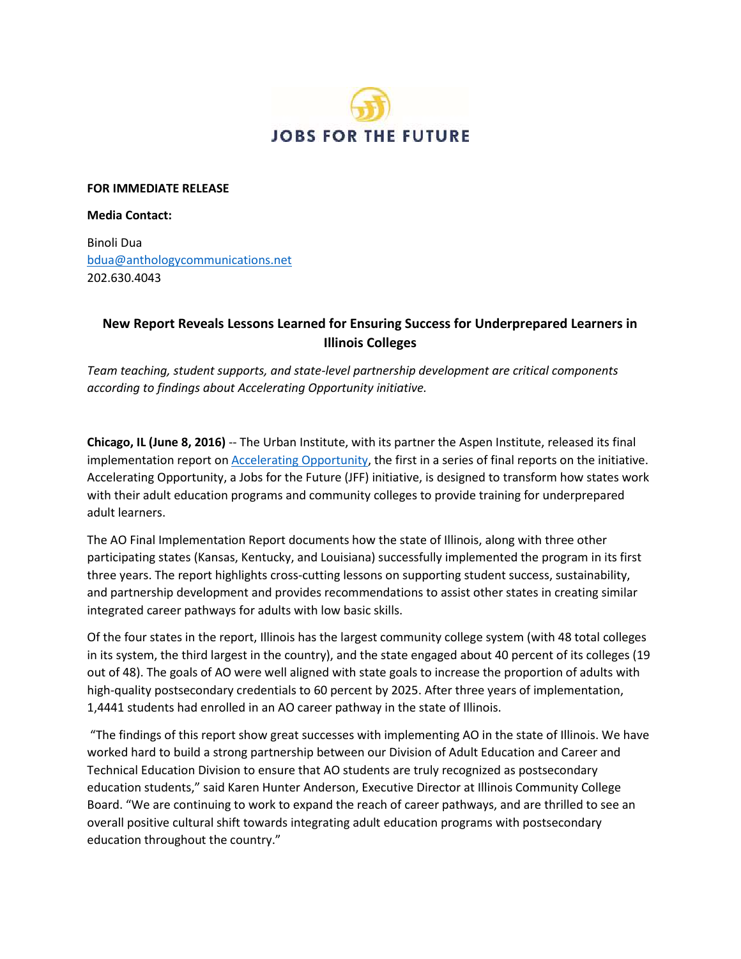

#### **FOR IMMEDIATE RELEASE**

#### **Media Contact:**

Binoli Dua [bdua@anthologycommunications.net](mailto:bdua@anthologycommunications.net)  202.630.4043

# **New Report Reveals Lessons Learned for Ensuring Success for Underprepared Learners in Illinois Colleges**

*Team teaching, student supports, and state-level partnership development are critical components according to findings about Accelerating Opportunity initiative.* 

 **Chicago, IL (June 8, 2016)** -- The Urban Institute, with its partner the Aspen Institute, released its final implementation report on **Accelerating Opportunity**, the first in a series of final reports on the initiative. adult learners. Accelerating Opportunity, a Jobs for the Future (JFF) initiative, is designed to transform how states work with their adult education programs and community colleges to provide training for underprepared

The AO Final Implementation Report documents how the state of Illinois, along with three other participating states (Kansas, Kentucky, and Louisiana) successfully implemented the program in its first three years. The report highlights cross-cutting lessons on supporting student success, sustainability, and partnership development and provides recommendations to assist other states in creating similar integrated career pathways for adults with low basic skills.

 high-quality postsecondary credentials to 60 percent by 2025. After three years of implementation, Of the four states in the report, Illinois has the largest community college system (with 48 total colleges in its system, the third largest in the country), and the state engaged about 40 percent of its colleges (19 out of 48). The goals of AO were well aligned with state goals to increase the proportion of adults with 1,4441 students had enrolled in an AO career pathway in the state of Illinois.

 "The findings of this report show great successes with implementing AO in the state of Illinois. We have worked hard to build a strong partnership between our Division of Adult Education and Career and Technical Education Division to ensure that AO students are truly recognized as postsecondary Board. "We are continuing to work to expand the reach of career pathways, and are thrilled to see an education throughout the country." education students," said Karen Hunter Anderson, Executive Director at Illinois Community College overall positive cultural shift towards integrating adult education programs with postsecondary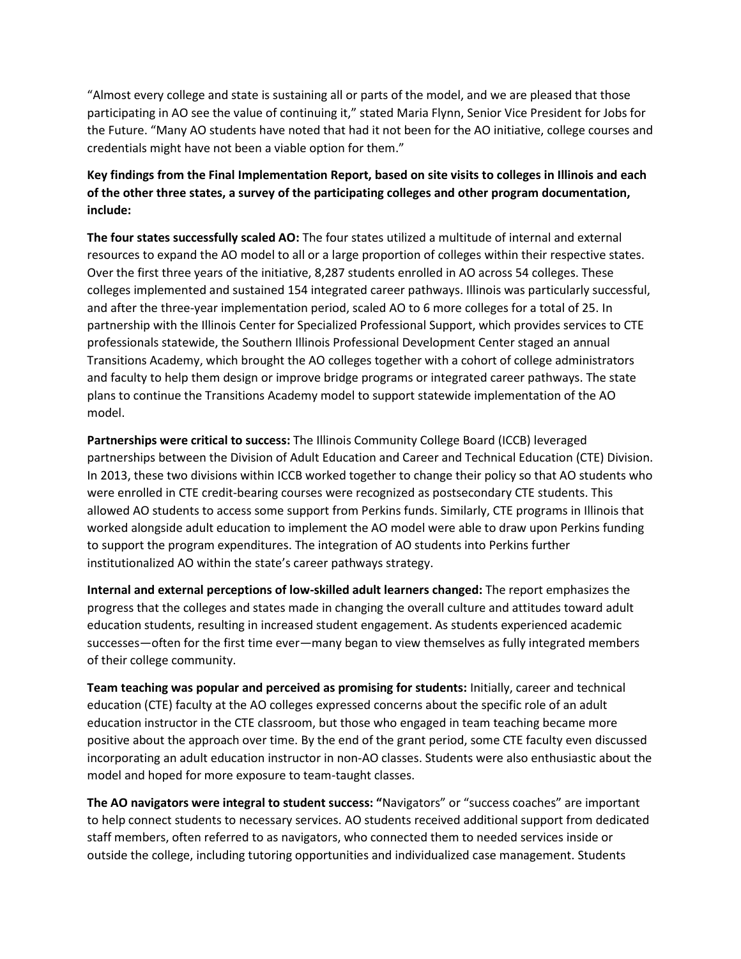"Almost every college and state is sustaining all or parts of the model, and we are pleased that those participating in AO see the value of continuing it," stated Maria Flynn, Senior Vice President for Jobs for the Future. "Many AO students have noted that had it not been for the AO initiative, college courses and credentials might have not been a viable option for them."

## **Key findings from the Final Implementation Report, based on site visits to colleges in Illinois and each of the other three states, a survey of the participating colleges and other program documentation, include:**

 colleges implemented and sustained 154 integrated career pathways. Illinois was particularly successful, and after the three-year implementation period, scaled AO to 6 more colleges for a total of 25. In plans to continue the Transitions Academy model to support statewide implementation of the AO **The four states successfully scaled AO:** The four states utilized a multitude of internal and external resources to expand the AO model to all or a large proportion of colleges within their respective states. Over the first three years of the initiative, 8,287 students enrolled in AO across 54 colleges. These partnership with the Illinois Center for Specialized Professional Support, which provides services to CTE professionals statewide, the Southern Illinois Professional Development Center staged an annual Transitions Academy, which brought the AO colleges together with a cohort of college administrators and faculty to help them design or improve bridge programs or integrated career pathways. The state model.

 **Partnerships were critical to success:** The Illinois Community College Board (ICCB) leveraged partnerships between the Division of Adult Education and Career and Technical Education (CTE) Division. In 2013, these two divisions within ICCB worked together to change their policy so that AO students who were enrolled in CTE credit-bearing courses were recognized as postsecondary CTE students. This allowed AO students to access some support from Perkins funds. Similarly, CTE programs in Illinois that worked alongside adult education to implement the AO model were able to draw upon Perkins funding to support the program expenditures. The integration of AO students into Perkins further institutionalized AO within the state's career pathways strategy.

 successes—often for the first time ever—many began to view themselves as fully integrated members **Internal and external perceptions of low-skilled adult learners changed:** The report emphasizes the progress that the colleges and states made in changing the overall culture and attitudes toward adult education students, resulting in increased student engagement. As students experienced academic of their college community.

 education (CTE) faculty at the AO colleges expressed concerns about the specific role of an adult positive about the approach over time. By the end of the grant period, some CTE faculty even discussed model and hoped for more exposure to team-taught classes. **Team teaching was popular and perceived as promising for students:** Initially, career and technical education instructor in the CTE classroom, but those who engaged in team teaching became more incorporating an adult education instructor in non-AO classes. Students were also enthusiastic about the

**The AO navigators were integral to student success: "Navigators" or "success coaches" are important**  staff members, often referred to as navigators, who connected them to needed services inside or to help connect students to necessary services. AO students received additional support from dedicated outside the college, including tutoring opportunities and individualized case management. Students